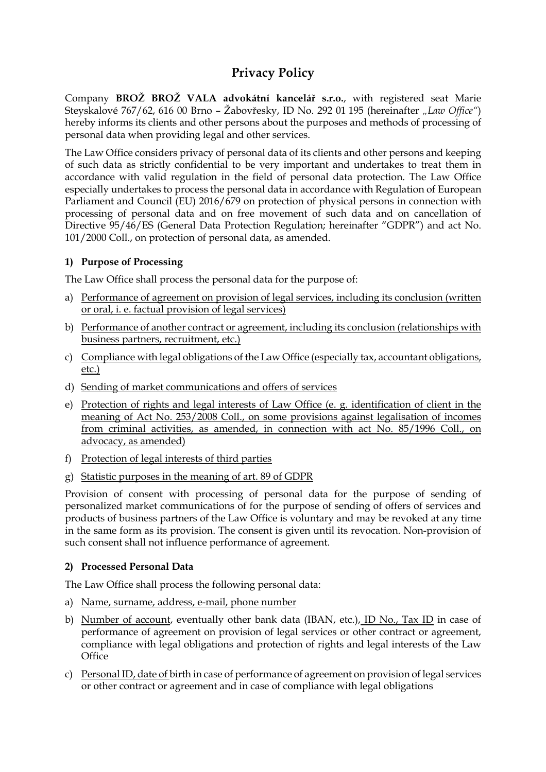# **Privacy Policy**

Company **BROŽ BROŽ VALA advokátní kancelář s.r.o.**, with registered seat Marie Steyskalové 767/62, 616 00 Brno – Žabovřesky, ID No. 292 01 195 (hereinafter *"Law Office"*) hereby informs its clients and other persons about the purposes and methods of processing of personal data when providing legal and other services.

The Law Office considers privacy of personal data of its clients and other persons and keeping of such data as strictly confidential to be very important and undertakes to treat them in accordance with valid regulation in the field of personal data protection. The Law Office especially undertakes to process the personal data in accordance with Regulation of European Parliament and Council (EU) 2016/679 on protection of physical persons in connection with processing of personal data and on free movement of such data and on cancellation of Directive 95/46/ES (General Data Protection Regulation; hereinafter "GDPR") and act No. 101/2000 Coll., on protection of personal data, as amended.

## **1) Purpose of Processing**

The Law Office shall process the personal data for the purpose of:

- a) Performance of agreement on provision of legal services, including its conclusion (written or oral, i. e. factual provision of legal services)
- b) Performance of another contract or agreement, including its conclusion (relationships with business partners, recruitment, etc.)
- c) Compliance with legal obligations of the Law Office (especially tax, accountant obligations, etc.)
- d) Sending of market communications and offers of services
- e) Protection of rights and legal interests of Law Office (e. g. identification of client in the meaning of Act No. 253/2008 Coll., on some provisions against legalisation of incomes from criminal activities, as amended, in connection with act No. 85/1996 Coll., on advocacy, as amended)
- f) Protection of legal interests of third parties
- g) Statistic purposes in the meaning of art. 89 of GDPR

Provision of consent with processing of personal data for the purpose of sending of personalized market communications of for the purpose of sending of offers of services and products of business partners of the Law Office is voluntary and may be revoked at any time in the same form as its provision. The consent is given until its revocation. Non-provision of such consent shall not influence performance of agreement.

## **2) Processed Personal Data**

The Law Office shall process the following personal data:

- a) Name, surname, address, e-mail, phone number
- b) Number of account, eventually other bank data (IBAN, etc.), ID No., Tax ID in case of performance of agreement on provision of legal services or other contract or agreement, compliance with legal obligations and protection of rights and legal interests of the Law **Office**
- c) Personal ID, date of birth in case of performance of agreement on provision of legal services or other contract or agreement and in case of compliance with legal obligations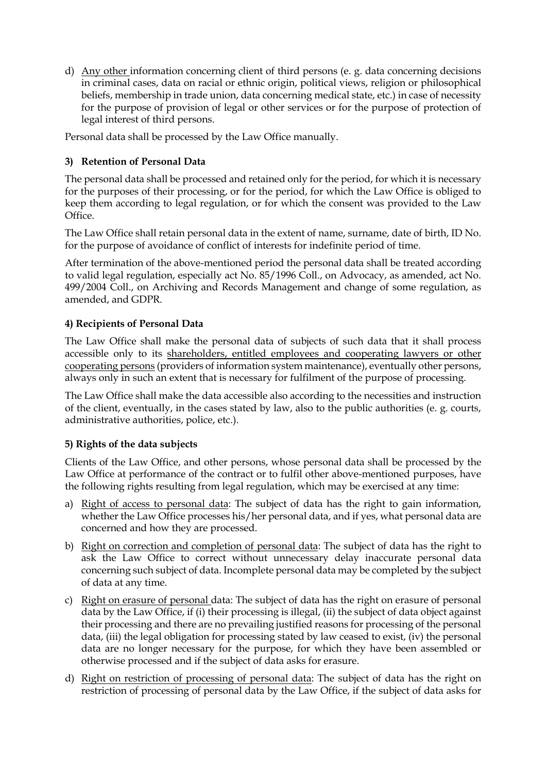d) Any other information concerning client of third persons (e. g. data concerning decisions in criminal cases, data on racial or ethnic origin, political views, religion or philosophical beliefs, membership in trade union, data concerning medical state, etc.) in case of necessity for the purpose of provision of legal or other services or for the purpose of protection of legal interest of third persons.

Personal data shall be processed by the Law Office manually.

# **3) Retention of Personal Data**

The personal data shall be processed and retained only for the period, for which it is necessary for the purposes of their processing, or for the period, for which the Law Office is obliged to keep them according to legal regulation, or for which the consent was provided to the Law Office.

The Law Office shall retain personal data in the extent of name, surname, date of birth, ID No. for the purpose of avoidance of conflict of interests for indefinite period of time.

After termination of the above-mentioned period the personal data shall be treated according to valid legal regulation, especially act No. 85/1996 Coll., on Advocacy, as amended, act No. 499/2004 Coll., on Archiving and Records Management and change of some regulation, as amended, and GDPR.

# **4) Recipients of Personal Data**

The Law Office shall make the personal data of subjects of such data that it shall process accessible only to its shareholders, entitled employees and cooperating lawyers or other cooperating persons (providers of information system maintenance), eventually other persons, always only in such an extent that is necessary for fulfilment of the purpose of processing.

The Law Office shall make the data accessible also according to the necessities and instruction of the client, eventually, in the cases stated by law, also to the public authorities (e. g. courts, administrative authorities, police, etc.).

## **5) Rights of the data subjects**

Clients of the Law Office, and other persons, whose personal data shall be processed by the Law Office at performance of the contract or to fulfil other above-mentioned purposes, have the following rights resulting from legal regulation, which may be exercised at any time:

- a) Right of access to personal data: The subject of data has the right to gain information, whether the Law Office processes his/her personal data, and if yes, what personal data are concerned and how they are processed.
- b) Right on correction and completion of personal data: The subject of data has the right to ask the Law Office to correct without unnecessary delay inaccurate personal data concerning such subject of data. Incomplete personal data may be completed by the subject of data at any time.
- c) Right on erasure of personal data: The subject of data has the right on erasure of personal data by the Law Office, if (i) their processing is illegal, (ii) the subject of data object against their processing and there are no prevailing justified reasons for processing of the personal data, (iii) the legal obligation for processing stated by law ceased to exist, (iv) the personal data are no longer necessary for the purpose, for which they have been assembled or otherwise processed and if the subject of data asks for erasure.
- d) Right on restriction of processing of personal data: The subject of data has the right on restriction of processing of personal data by the Law Office, if the subject of data asks for